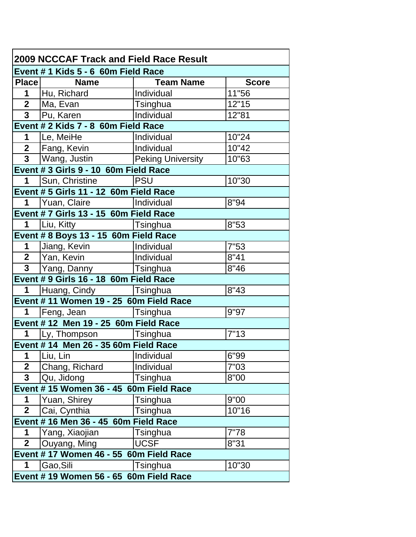| <b>2009 NCCCAF Track and Field Race Result</b> |                                         |                          |              |  |  |
|------------------------------------------------|-----------------------------------------|--------------------------|--------------|--|--|
|                                                | Event # 1 Kids 5 - 6 60m Field Race     |                          |              |  |  |
|                                                | Place Name                              | <b>Team Name</b>         | <b>Score</b> |  |  |
| 1                                              | Hu, Richard                             | Individual               | 11"56        |  |  |
|                                                | 2 Ma, Evan                              | Tsinghua                 | 12"15        |  |  |
|                                                | $\overline{3}$   Pu, Karen              | Individual               | 12"81        |  |  |
|                                                | Event # 2 Kids 7 - 8 60m Field Race     |                          |              |  |  |
|                                                | 1   Le, MeiHe                           | Individual               | 10"24        |  |  |
|                                                | 2   Fang, Kevin                         | Individual               | 10"42        |  |  |
| 3 <sup>1</sup>                                 | Wang, Justin                            | <b>Peking University</b> | 10"63        |  |  |
|                                                | Event # 3 Girls 9 - 10 60m Field Race   |                          |              |  |  |
| 1                                              | Sun, Christine                          | <b>PSU</b>               | 10"30        |  |  |
|                                                | Event # 5 Girls 11 - 12 60m Field Race  |                          |              |  |  |
|                                                | 1 Yuan, Claire   Individual             |                          | 8"94         |  |  |
|                                                | Event # 7 Girls 13 - 15 60m Field Race  |                          |              |  |  |
| $\mathbf 1$                                    | Liu, Kitty                              | Tsinghua                 | 8"53         |  |  |
|                                                | Event # 8 Boys 13 - 15 60m Field Race   |                          |              |  |  |
| $1 \quad$                                      | Jiang, Kevin                            | Individual               | 7"53         |  |  |
|                                                | $\overline{\phantom{a}}$   Yan, Kevin   | Individual               | 8"41         |  |  |
|                                                | 3 Yang, Danny                           | Tsinghua                 | 8"46         |  |  |
|                                                | Event # 9 Girls 16 - 18 60m Field Race  |                          |              |  |  |
| $\mathbf 1$                                    | Huang, Cindy   Tsinghua                 |                          | 8"43         |  |  |
|                                                | Event # 11 Women 19 - 25 60m Field Race |                          |              |  |  |
| $1 \quad$                                      | Feng, Jean   Tsinghua                   |                          | 9"97         |  |  |
|                                                | Event # 12 Men 19 - 25 60m Field Race   |                          |              |  |  |
| 1                                              | Ly, Thompson   Tsinghua                 |                          | 7"13         |  |  |
|                                                | Event # 14 Men 26 - 35 60m Field Race   |                          |              |  |  |
| 1                                              | Liu, Lin                                | Individual               | 6"99         |  |  |
| $\overline{2}$                                 | Chang, Richard                          | Individual               | 7"03         |  |  |
| 3                                              | Qu, Jidong                              | Tsinghua                 | 8"00         |  |  |
|                                                | Event #15 Women 36 - 45 60m Field Race  |                          |              |  |  |
| 1                                              | Yuan, Shirey                            | Tsinghua                 | 9"00         |  |  |
| 2 <sup>1</sup>                                 | Cai, Cynthia                            | Tsinghua                 | 10"16        |  |  |
| Event # 16 Men 36 - 45 60m Field Race          |                                         |                          |              |  |  |
| 1                                              | Yang, Xiaojian                          | Tsinghua                 | 7"78         |  |  |
| $\overline{2}$                                 | Ouyang, Ming                            | <b>UCSF</b>              | 8"31         |  |  |
|                                                | Event # 17 Women 46 - 55 60m Field Race |                          |              |  |  |
| 1                                              | Gao,Sili                                | Tsinghua                 | 10"30        |  |  |
|                                                | Event #19 Women 56 - 65 60m Field Race  |                          |              |  |  |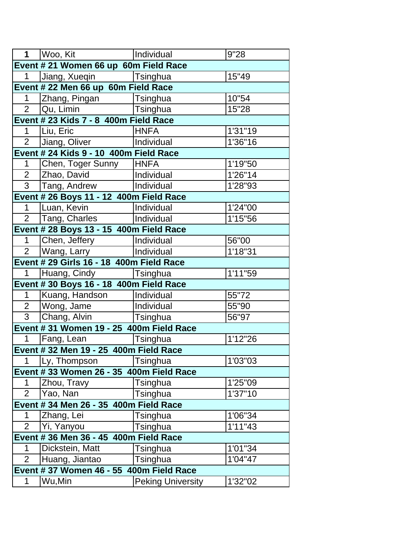| 1                                      | Woo, Kit                                 | Individual               | 9"28     |  |
|----------------------------------------|------------------------------------------|--------------------------|----------|--|
|                                        | Event # 21 Women 66 up 60m Field Race    |                          |          |  |
| 1                                      | Jiang, Xueqin                            | Tsinghua                 | 15"49    |  |
|                                        | Event # 22 Men 66 up 60m Field Race      |                          |          |  |
| 1                                      | Zhang, Pingan                            | Tsinghua                 | 10"54    |  |
| $\overline{2}$                         | Qu, Limin                                | Tsinghua                 | 15"28    |  |
|                                        | Event # 23 Kids 7 - 8 400m Field Race    |                          |          |  |
| 1                                      | Liu, Eric                                | <b>HNFA</b>              | 1'31"19  |  |
| $\overline{2}$                         | Jiang, Oliver                            | Individual               | 1'36"16  |  |
|                                        | Event # 24 Kids 9 - 10 400m Field Race   |                          |          |  |
| $\mathbf{1}$                           | Chen, Toger Sunny                        | <b>HNFA</b>              | 1'19"50  |  |
| $\overline{2}$                         | Zhao, David                              | Individual               | 1'26"14  |  |
| $\overline{3}$                         | Tang, Andrew                             | Individual               | 1'28"93  |  |
|                                        | Event # 26 Boys 11 - 12 400m Field Race  |                          |          |  |
| $\mathbf 1$                            | Luan, Kevin                              | Individual               | 1'24"00  |  |
| $\overline{2}$                         | Tang, Charles                            | <b>Individual</b>        | 1'15"56  |  |
|                                        | Event # 28 Boys 13 - 15 400m Field Race  |                          |          |  |
| $\mathbf{1}$                           | Chen, Jeffery                            | Individual               | 56"00    |  |
| $\overline{2}$                         | Wang, Larry                              | Individual               | 1'18"31  |  |
|                                        | Event # 29 Girls 16 - 18 400m Field Race |                          |          |  |
| $\mathbf{1}$                           | Huang, Cindy  Tsinghua                   |                          | 1'11"59  |  |
|                                        | Event # 30 Boys 16 - 18 400m Field Race  |                          |          |  |
| $\mathbf 1$                            | Kuang, Handson                           | Individual               | 55"72    |  |
| 2 <sup>1</sup>                         | Wong, Jame                               | Individual               | 55"90    |  |
| $\overline{3}$                         | Chang, Alvin                             | Tsinghua                 | 56"97    |  |
|                                        | Event #31 Women 19 - 25 400m Field Race  |                          |          |  |
| $\mathbf 1$                            | Fang, Lean                               | Tsinghua                 | 1'12"26  |  |
|                                        | Event # 32 Men 19 - 25 400m Field Race   |                          |          |  |
| $\mathbf{1}$                           | Ly, Thompson                             | Tsinghua                 | 1'03"03  |  |
|                                        | Event # 33 Women 26 - 35 400m Field Race |                          |          |  |
| 1                                      | Zhou, Travy                              | Tsinghua                 | 1'25"09  |  |
| $\overline{2}$                         | Yao, Nan                                 | Tsinghua                 | 1'37"10  |  |
|                                        | Event # 34 Men 26 - 35 400m Field Race   |                          |          |  |
| 1                                      | Zhang, Lei                               | Tsinghua                 | 1'06"34  |  |
| $\overline{2}$                         | Yi, Yanyou                               | Tsinghua                 | 1'11''43 |  |
| Event # 36 Men 36 - 45 400m Field Race |                                          |                          |          |  |
| 1                                      | Dickstein, Matt                          | Tsinghua                 | 1'01"34  |  |
| $\overline{2}$                         | Huang, Jiantao                           | Tsinghua                 | 1'04"47  |  |
|                                        | Event # 37 Women 46 - 55 400m Field Race |                          |          |  |
| $\mathbf 1$                            | Wu,Min                                   | <b>Peking University</b> | 1'32"02  |  |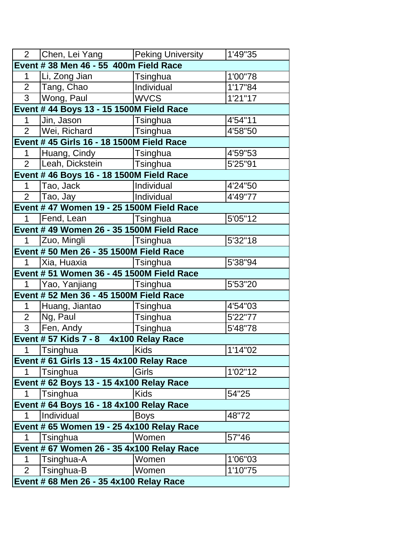|                | 2 Chen, Lei Yang                          | <b>Peking University</b> | 1'49"35 |
|----------------|-------------------------------------------|--------------------------|---------|
|                | Event # 38 Men 46 - 55 400m Field Race    |                          |         |
| 1              | Li, Zong Jian                             | <b>Tsinghua</b>          | 1'00"78 |
|                | $\overline{2}$   Tang, Chao               | Individual               | 1'17"84 |
|                | 3   Wong, Paul                            | <b>WVCS</b>              | 1'21"17 |
|                | Event # 44 Boys 13 - 15 1500M Field Race  |                          |         |
| $\mathbf 1$    | Jin, Jason                                | Tsinghua                 | 4'54"11 |
|                | 2   Wei, Richard                          | Tsinghua                 | 4'58"50 |
|                | Event # 45 Girls 16 - 18 1500M Field Race |                          |         |
| $1 -$          | Huang, Cindy   Tsinghua                   |                          | 4'59"53 |
| $2^{\circ}$    | Leah, Dickstein                           | <b>Tsinghua</b>          | 5'25"91 |
|                | Event # 46 Boys 16 - 18 1500M Field Race  |                          |         |
| $\mathbf 1$    | Tao, Jack                                 | Individual               | 4'24"50 |
|                | $\overline{2}$   Tao, Jay                 | Individual               | 4'49"77 |
|                | Event # 47 Women 19 - 25 1500M Field Race |                          |         |
| $1 \quad$      | Fend, Lean   Tsinghua                     |                          | 5'05"12 |
|                | Event # 49 Women 26 - 35 1500M Field Race |                          |         |
| 1              | Zuo, Mingli                               | Tsinghua                 | 5'32"18 |
|                | Event # 50 Men 26 - 35 1500M Field Race   |                          |         |
| 1              | Xia, Huaxia   Tsinghua                    |                          | 5'38"94 |
|                | Event # 51 Women 36 - 45 1500M Field Race |                          |         |
| $1 \quad$      | Yao, Yanjiang   Tsinghua                  |                          | 5'53"20 |
|                | Event # 52 Men 36 - 45 1500M Field Race   |                          |         |
| $1 \quad$      | Huang, Jiantao                            | Tsinghua                 | 4'54"03 |
| 2 <sup>1</sup> | Ng, Paul                                  | Tsinghua                 | 5'22"77 |
| 3 <sup>1</sup> | Fen, Andy                                 | Tsinghua                 | 5'48"78 |
|                | Event # 57 Kids 7 - 8 4x100 Relay Race    |                          |         |
| $1 \quad$      | <b>Tsinghua</b>                           | Kids                     | 1'14"02 |
|                | Event # 61 Girls 13 - 15 4x100 Relay Race |                          |         |
| 1              | Tsinghua                                  | Girls                    | 1'02"12 |
|                | Event # 62 Boys 13 - 15 4x100 Relay Race  |                          |         |
| 1              | Tsinghua                                  | <b>Kids</b>              | 54"25   |
|                | Event # 64 Boys 16 - 18 4x100 Relay Race  |                          |         |
| 1.             | Individual                                | <b>Boys</b>              | 48"72   |
|                | Event # 65 Women 19 - 25 4x100 Relay Race |                          |         |
| 1              | Tsinghua                                  | Women                    | 57"46   |
|                | Event # 67 Women 26 - 35 4x100 Relay Race |                          |         |
| 1              | Tsinghua-A                                | Women                    | 1'06"03 |
| $\overline{2}$ | Tsinghua-B                                | Women                    | 1'10"75 |
|                | Event # 68 Men 26 - 35 4x100 Relay Race   |                          |         |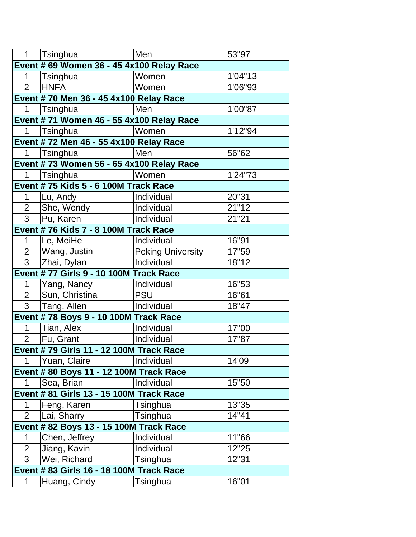| $1 \quad$                                 | Tsinghua                                     | Men                      | 53"97   |  |  |
|-------------------------------------------|----------------------------------------------|--------------------------|---------|--|--|
| Event # 69 Women 36 - 45 4x100 Relay Race |                                              |                          |         |  |  |
| 1                                         | Tsinghua                                     | Women                    | 1'04"13 |  |  |
| $\overline{2}$                            | <b>HNFA</b>                                  | Women                    | 1'06"93 |  |  |
|                                           | Event # 70 Men 36 - 45 4x100 Relay Race      |                          |         |  |  |
| 1                                         | Tsinghua                                     | Men                      | 1'00"87 |  |  |
|                                           | Event # 71 Women 46 - 55 4x100 Relay Race    |                          |         |  |  |
| 1                                         | Tsinghua                                     | Women                    | 1'12"94 |  |  |
|                                           | Event #72 Men 46 - 55 4x100 Relay Race       |                          |         |  |  |
| 1                                         | Tsinghua                                     | Men                      | 56"62   |  |  |
|                                           | Event # 73 Women 56 - 65 4x100 Relay Race    |                          |         |  |  |
| $\mathbf 1$                               | Tsinghua                                     | Women                    | 1'24"73 |  |  |
|                                           | Event # 75 Kids 5 - 6 100M Track Race        |                          |         |  |  |
| 1                                         | Lu, Andy                                     | Individual               | 20"31   |  |  |
| $\overline{2}$                            | She, Wendy                                   | Individual               | 21"12   |  |  |
| 3 <sup>1</sup>                            | Pu, Karen                                    | Individual               | 21"21   |  |  |
|                                           | Event #76 Kids 7 - 8 100M Track Race         |                          |         |  |  |
| 1                                         | Le, MeiHe                                    | Individual               | 16"91   |  |  |
| $\overline{2}$                            | Wang, Justin                                 | <b>Peking University</b> | 17"59   |  |  |
| $\overline{3}$                            | Zhai, Dylan                                  | Individual               | 18"12   |  |  |
|                                           | Event #77 Girls 9 - 10 100M Track Race       |                          |         |  |  |
| 1                                         | Yang, Nancy                                  | Individual               | 16"53   |  |  |
| $\overline{2}$                            | Sun, Christina                               | <b>PSU</b>               | 16"61   |  |  |
| 3 <sup>1</sup>                            | Tang, Allen                                  | Individual               | 18"47   |  |  |
|                                           | <b>Event #78 Boys 9 - 10 100M Track Race</b> |                          |         |  |  |
| $\mathbf 1$                               | Tian, Alex                                   | Individual               | 17"00   |  |  |
| $\overline{2}$                            | Fu, Grant                                    | Individual               | 17"87   |  |  |
|                                           | Event #79 Girls 11 - 12 100M Track Race      |                          |         |  |  |
| $\mathbf 1$                               | Yuan, Claire                                 | Individual               | 14'09   |  |  |
|                                           | Event # 80 Boys 11 - 12 100M Track Race      |                          |         |  |  |
| 1                                         | Sea, Brian                                   | Individual               | 15"50   |  |  |
| Event # 81 Girls 13 - 15 100M Track Race  |                                              |                          |         |  |  |
| 1                                         | Feng, Karen                                  | Tsinghua                 | 13"35   |  |  |
| $\overline{2}$                            | Lai, Sharry                                  | Tsinghua                 | 14"41   |  |  |
| Event # 82 Boys 13 - 15 100M Track Race   |                                              |                          |         |  |  |
| 1                                         | Chen, Jeffrey                                | Individual               | 11"66   |  |  |
| $\overline{2}$                            | Jiang, Kavin                                 | Individual               | 12"25   |  |  |
| $\overline{3}$                            | Wei, Richard                                 | Tsinghua                 | 12"31   |  |  |
|                                           | Event # 83 Girls 16 - 18 100M Track Race     |                          |         |  |  |
| 1                                         | Huang, Cindy                                 | Tsinghua                 | 16"01   |  |  |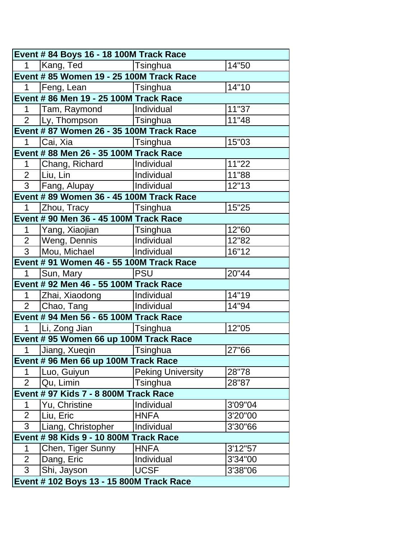| Event # 84 Boys 16 - 18 100M Track Race  |                                          |                          |         |  |
|------------------------------------------|------------------------------------------|--------------------------|---------|--|
| 1                                        | Kang, Ted                                | Tsinghua                 | 14"50   |  |
|                                          | Event # 85 Women 19 - 25 100M Track Race |                          |         |  |
| 1                                        | Feng, Lean   Tsinghua                    |                          | 14"10   |  |
|                                          | Event # 86 Men 19 - 25 100M Track Race   |                          |         |  |
| 1                                        | Tam, Raymond                             | Individual               | 11"37   |  |
|                                          | 2 Ly, Thompson   Tsinghua                |                          | 11"48   |  |
|                                          | Event # 87 Women 26 - 35 100M Track Race |                          |         |  |
| $\mathbf{1}$                             | Cai, Xia                                 | <b>Tsinghua</b>          | 15"03   |  |
|                                          | Event # 88 Men 26 - 35 100M Track Race   |                          |         |  |
| 1                                        | Chang, Richard                           | Individual               | 11"22   |  |
|                                          | $\overline{2}$   Liu, Lin                | Individual               | 11"88   |  |
|                                          | 3 Fang, Alupay                           | Individual               | 12"13   |  |
|                                          | Event # 89 Women 36 - 45 100M Track Race |                          |         |  |
| $\mathbf 1$                              | Zhou, Tracy   Tsinghua                   |                          | 15"25   |  |
|                                          | Event # 90 Men 36 - 45 100M Track Race   |                          |         |  |
| $1 \quad$                                | Yang, Xiaojian                           | Tsinghua                 | 12"60   |  |
|                                          | 2   Weng, Dennis                         | Individual               | 12"82   |  |
| $\overline{3}$                           | Mou, Michael                             | Individual               | 16"12   |  |
|                                          | Event # 91 Women 46 - 55 100M Track Race |                          |         |  |
| $\mathbf 1$                              | Sun, Mary                                | <b>PSU</b>               | 20"44   |  |
|                                          | Event # 92 Men 46 - 55 100M Track Race   |                          |         |  |
| $\mathbf{1}$                             | Zhai, Xiaodong                           | Individual               | 14"19   |  |
| 2 <sup>7</sup>                           | Chao, Tang   Individual                  |                          | 14"94   |  |
|                                          | Event # 94 Men 56 - 65 100M Track Race   |                          |         |  |
|                                          | 1   Li, Zong Jian                        | Tsinghua                 | 12"05   |  |
|                                          | Event # 95 Women 66 up 100M Track Race   |                          |         |  |
|                                          | 1 Jiang, Xueqin                          | Tsinghua                 | 27"66   |  |
|                                          | Event # 96 Men 66 up 100M Track Race     |                          |         |  |
| 1                                        | Luo, Guiyun                              | <b>Peking University</b> | 28"78   |  |
| $\overline{2}$                           | Qu, Limin                                | Tsinghua                 | 28"87   |  |
|                                          | Event # 97 Kids 7 - 8 800M Track Race    |                          |         |  |
| 1                                        | Yu, Christine                            | Individual               | 3'09"04 |  |
| $\overline{2}$                           | Liu, Eric                                | <b>HNFA</b>              | 3'20"00 |  |
| 3                                        | Liang, Christopher                       | Individual               | 3'30"66 |  |
| Event # 98 Kids 9 - 10 800M Track Race   |                                          |                          |         |  |
| 1                                        | Chen, Tiger Sunny                        | <b>HNFA</b>              | 3'12"57 |  |
| $\overline{2}$                           | Dang, Eric                               | Individual               | 3'34"00 |  |
| 3                                        | Shi, Jayson                              | <b>UCSF</b>              | 3'38"06 |  |
| Event # 102 Boys 13 - 15 800M Track Race |                                          |                          |         |  |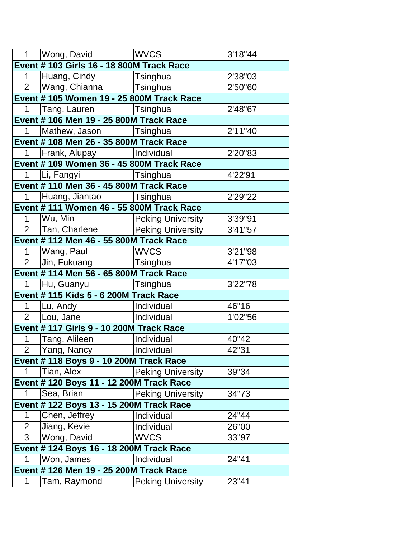|                | 1   Wong, David                           | <b>WVCS</b>              | 3'18"44 |
|----------------|-------------------------------------------|--------------------------|---------|
|                | Event # 103 Girls 16 - 18 800M Track Race |                          |         |
| $\mathbf 1$    | Huang, Cindy                              | Tsinghua                 | 2'38"03 |
| $2^{\circ}$    | Wang, Chianna                             | <b>Tsinghua</b>          | 2'50"60 |
|                | Event # 105 Women 19 - 25 800M Track Race |                          |         |
| $\mathbf 1$    | Tang, Lauren                              | Tsinghua                 | 2'48"67 |
|                | Event # 106 Men 19 - 25 800M Track Race   |                          |         |
| $\mathbf 1$    | Mathew, Jason   Tsinghua                  |                          | 2'11"40 |
|                | Event # 108 Men 26 - 35 800M Track Race   |                          |         |
| $\mathbf{1}$   | Frank, Alupay   Individual                |                          | 2'20"83 |
|                | Event # 109 Women 36 - 45 800M Track Race |                          |         |
| 1              | Li, Fangyi                                | <b>Tsinghua</b>          | 4'22'91 |
|                | Event # 110 Men 36 - 45 800M Track Race   |                          |         |
| $\mathbf 1$    | Huang, Jiantao   Tsinghua                 |                          | 2'29"22 |
|                | Event # 111 Women 46 - 55 800M Track Race |                          |         |
| $\mathbf 1$    | Wu, Min                                   | <b>Peking University</b> | 3'39"91 |
| $\overline{2}$ | Tan, Charlene                             | <b>Peking University</b> | 3'41"57 |
|                | Event # 112 Men 46 - 55 800M Track Race   |                          |         |
| $\mathbf 1$    | Wang, Paul                                | <b>WVCS</b>              | 3'21"98 |
| 2 <sup>1</sup> | Jin, Fukuang                              | Tsinghua                 | 4'17"03 |
|                | Event # 114 Men 56 - 65 800M Track Race   |                          |         |
| $\mathbf 1$    | Hu, Guanyu                                | Tsinghua                 | 3'22"78 |
|                | Event # 115 Kids 5 - 6 200M Track Race    |                          |         |
| $\mathbf{1}$   | Lu, Andy                                  | Individual               | 46"16   |
| 2 <sup>1</sup> | Lou, Jane                                 | Individual               | 1'02"56 |
|                | Event # 117 Girls 9 - 10 200M Track Race  |                          |         |
| 1              | Tang, Alileen                             | Individual               | 40"42   |
| $\overline{2}$ | Yang, Nancy                               | Individual               | 42"31   |
|                | Event # 118 Boys 9 - 10 200M Track Race   |                          |         |
| 1              | Tian, Alex                                | <b>Peking University</b> | 39"34   |
|                | Event # 120 Boys 11 - 12 200M Track Race  |                          |         |
| $\mathbf 1$    | Sea, Brian                                | <b>Peking University</b> | 34"73   |
|                | Event # 122 Boys 13 - 15 200M Track Race  |                          |         |
| 1              | Chen, Jeffrey                             | Individual               | 24"44   |
| $\overline{2}$ | Jiang, Kevie                              | Individual               | 26"00   |
| $\overline{3}$ | Wong, David                               | <b>WVCS</b>              | 33"97   |
|                | Event # 124 Boys 16 - 18 200M Track Race  |                          |         |
| 1              | Won, James                                | Individual               | 24"41   |
|                | Event # 126 Men 19 - 25 200M Track Race   |                          |         |
| 1              | Tam, Raymond                              | <b>Peking University</b> | 23"41   |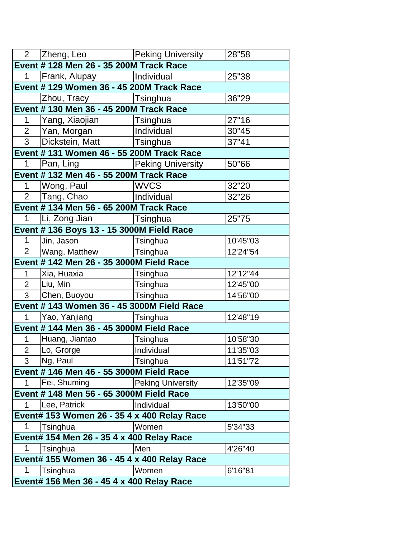|                                           | 2 Zheng, Leo Peking University                                                                                 |                          | 28"58    |  |
|-------------------------------------------|----------------------------------------------------------------------------------------------------------------|--------------------------|----------|--|
|                                           | Event # 128 Men 26 - 35 200M Track Race                                                                        |                          |          |  |
| $1 \quad$                                 | Frank, Alupay   Individual                                                                                     |                          | 25"38    |  |
|                                           | Event # 129 Women 36 - 45 200M Track Race                                                                      |                          |          |  |
|                                           | Zhou, Tracy [Tsinghua]                                                                                         |                          | 36"29    |  |
|                                           | Event # 130 Men 36 - 45 200M Track Race                                                                        |                          |          |  |
| 1                                         | Yang, Xiaojian                                                                                                 | Tsinghua                 | 27"16    |  |
|                                           | 2   Yan, Morgan                                                                                                | Individual               | 30"45    |  |
| $\overline{3}$                            | Dickstein, Matt                                                                                                | Tsinghua                 | 37"41    |  |
|                                           | Event # 131 Women 46 - 55 200M Track Race                                                                      |                          |          |  |
| 1                                         | Pan, Ling Panton State State State State State State State State State State State State State State State Sta | <b>Peking University</b> | 50"66    |  |
|                                           | Event # 132 Men 46 - 55 200M Track Race                                                                        |                          |          |  |
| $1 \quad$                                 | Wong, Paul                                                                                                     | <b>WVCS</b>              | 32"20    |  |
|                                           | 2   Tang, Chao                                                                                                 | Individual               | 32"26    |  |
|                                           | Event # 134 Men 56 - 65 200M Track Race                                                                        |                          |          |  |
| $\mathbf{1}$                              | Li, Zong Jian   Tsinghua                                                                                       |                          | 25"75    |  |
|                                           | Event # 136 Boys 13 - 15 3000M Field Race                                                                      |                          |          |  |
| 1                                         | Jin, Jason                                                                                                     | Tsinghua                 | 10'45"03 |  |
| $\overline{2}$                            | Wang, Matthew   Tsinghua                                                                                       |                          | 12'24"54 |  |
|                                           | Event # 142 Men 26 - 35 3000M Field Race                                                                       |                          |          |  |
| $\mathbf 1$                               | Xia, Huaxia                                                                                                    | Tsinghua                 | 12'12"44 |  |
| $\overline{2}$                            | Liu, Min                                                                                                       | Tsinghua                 | 12'45"00 |  |
| $\mathbf{3}$                              | Chen, Buoyou                                                                                                   | Tsinghua                 | 14'56"00 |  |
|                                           | Event # 143 Women 36 - 45 3000M Field Race                                                                     |                          |          |  |
| $\mathbf 1$                               | Yao, Yanjiang                                                                                                  | Tsinghua                 | 12'48"19 |  |
|                                           | Event # 144 Men 36 - 45 3000M Field Race                                                                       |                          |          |  |
| 1                                         | Huang, Jiantao                                                                                                 | Tsinghua                 | 10'58"30 |  |
| $\overline{2}$                            | Lo, Grorge                                                                                                     | Individual               | 11'35"03 |  |
| 3 <sup>1</sup>                            | Ng, Paul                                                                                                       | Tsinghua                 | 11'51"72 |  |
|                                           | Event # 146 Men 46 - 55 3000M Field Race                                                                       |                          |          |  |
| 1                                         | Fei, Shuming                                                                                                   | <b>Peking University</b> | 12'35"09 |  |
|                                           | Event # 148 Men 56 - 65 3000M Field Race                                                                       |                          |          |  |
| 1                                         | Lee, Patrick                                                                                                   | Individual               | 13'50"00 |  |
|                                           | Event# 153 Women 26 - 35 4 x 400 Relay Race                                                                    |                          |          |  |
| 1                                         | Tsinghua                                                                                                       | Women                    | 5'34"33  |  |
| Event# 154 Men 26 - 35 4 x 400 Relay Race |                                                                                                                |                          |          |  |
| 1                                         | Tsinghua                                                                                                       | Men                      | 4'26"40  |  |
|                                           | Event# 155 Women 36 - 45 4 x 400 Relay Race                                                                    |                          |          |  |
| 1                                         | Tsinghua                                                                                                       | Women                    | 6'16"81  |  |
| Event# 156 Men 36 - 45 4 x 400 Relay Race |                                                                                                                |                          |          |  |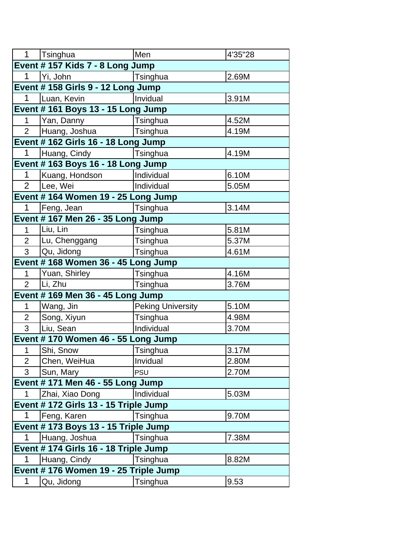| Event # 157 Kids 7 - 8 Long Jump<br>$\mathbf 1$<br>Yi, John<br>2.69M<br>Tsinghua<br>Event # 158 Girls 9 - 12 Long Jump<br>Invidual<br>1<br>Luan, Kevin<br>3.91M<br>Event #161 Boys 13 - 15 Long Jump<br>4.52M<br>$\mathbf{1}$<br>Yan, Danny<br>Tsinghua<br>$\overline{2}$<br>Huang, Joshua<br>Tsinghua<br>4.19M<br>Event # 162 Girls 16 - 18 Long Jump<br>$\mathbf 1$<br>4.19M<br>Huang, Cindy<br>Tsinghua<br>Event #163 Boys 16 - 18 Long Jump<br>1<br>6.10M<br>Kuang, Hondson<br>Individual<br>$\overline{2}$<br>Lee, Wei<br>5.05M<br>Individual<br>Event # 164 Women 19 - 25 Long Jump<br>$\mathbf{1}$<br>3.14M<br>Feng, Jean<br>Tsinghua<br>Event #167 Men 26 - 35 Long Jump<br>5.81M<br>Liu, Lin<br>$\mathbf{1}$<br>Tsinghua<br>5.37M<br>$\overline{2}$<br>Lu, Chenggang<br>Tsinghua<br>$\overline{3}$<br>Qu, Jidong<br>Tsinghua<br>4.61M<br>Event # 168 Women 36 - 45 Long Jump<br>Yuan, Shirley<br>4.16M<br>$\mathbf{1}$<br>Tsinghua<br>Li, Zhu<br>$\overline{2}$<br>3.76M<br>Tsinghua<br>Event # 169 Men 36 - 45 Long Jump<br>5.10M<br><b>Peking University</b><br>Wang, Jin<br>1<br>$\overline{2}$<br>Tsinghua<br>4.98M<br>Song, Xiyun<br>3<br>Liu, Sean<br>Individual<br>3.70M<br>Event #170 Women 46 - 55 Long Jump<br>$\mathbf 1$<br>Shi, Snow<br>Tsinghua<br>3.17M<br>$\overline{2}$<br>2.80M<br>Chen, WeiHua<br>Invidual<br>3<br>Sun, Mary<br>2.70M<br><b>PSU</b><br>Event # 171 Men 46 - 55 Long Jump<br>5.03M<br>$\mathbf{1}$<br>Zhai, Xiao Dong<br>Individual<br>Event # 172 Girls 13 - 15 Triple Jump<br>$\mathbf 1$<br>9.70M<br>Feng, Karen<br>Tsinghua<br>Event # 173 Boys 13 - 15 Triple Jump<br>$\mathbf 1$<br>Huang, Joshua<br>7.38M<br>Tsinghua | $\mathbf{1}$ | Tsinghua                              | Men | 4'35"28 |  |  |
|-------------------------------------------------------------------------------------------------------------------------------------------------------------------------------------------------------------------------------------------------------------------------------------------------------------------------------------------------------------------------------------------------------------------------------------------------------------------------------------------------------------------------------------------------------------------------------------------------------------------------------------------------------------------------------------------------------------------------------------------------------------------------------------------------------------------------------------------------------------------------------------------------------------------------------------------------------------------------------------------------------------------------------------------------------------------------------------------------------------------------------------------------------------------------------------------------------------------------------------------------------------------------------------------------------------------------------------------------------------------------------------------------------------------------------------------------------------------------------------------------------------------------------------------------------------------------------------------------------------------------------------------------------------------------|--------------|---------------------------------------|-----|---------|--|--|
|                                                                                                                                                                                                                                                                                                                                                                                                                                                                                                                                                                                                                                                                                                                                                                                                                                                                                                                                                                                                                                                                                                                                                                                                                                                                                                                                                                                                                                                                                                                                                                                                                                                                         |              |                                       |     |         |  |  |
|                                                                                                                                                                                                                                                                                                                                                                                                                                                                                                                                                                                                                                                                                                                                                                                                                                                                                                                                                                                                                                                                                                                                                                                                                                                                                                                                                                                                                                                                                                                                                                                                                                                                         |              |                                       |     |         |  |  |
|                                                                                                                                                                                                                                                                                                                                                                                                                                                                                                                                                                                                                                                                                                                                                                                                                                                                                                                                                                                                                                                                                                                                                                                                                                                                                                                                                                                                                                                                                                                                                                                                                                                                         |              |                                       |     |         |  |  |
|                                                                                                                                                                                                                                                                                                                                                                                                                                                                                                                                                                                                                                                                                                                                                                                                                                                                                                                                                                                                                                                                                                                                                                                                                                                                                                                                                                                                                                                                                                                                                                                                                                                                         |              |                                       |     |         |  |  |
|                                                                                                                                                                                                                                                                                                                                                                                                                                                                                                                                                                                                                                                                                                                                                                                                                                                                                                                                                                                                                                                                                                                                                                                                                                                                                                                                                                                                                                                                                                                                                                                                                                                                         |              |                                       |     |         |  |  |
|                                                                                                                                                                                                                                                                                                                                                                                                                                                                                                                                                                                                                                                                                                                                                                                                                                                                                                                                                                                                                                                                                                                                                                                                                                                                                                                                                                                                                                                                                                                                                                                                                                                                         |              |                                       |     |         |  |  |
|                                                                                                                                                                                                                                                                                                                                                                                                                                                                                                                                                                                                                                                                                                                                                                                                                                                                                                                                                                                                                                                                                                                                                                                                                                                                                                                                                                                                                                                                                                                                                                                                                                                                         |              |                                       |     |         |  |  |
|                                                                                                                                                                                                                                                                                                                                                                                                                                                                                                                                                                                                                                                                                                                                                                                                                                                                                                                                                                                                                                                                                                                                                                                                                                                                                                                                                                                                                                                                                                                                                                                                                                                                         |              |                                       |     |         |  |  |
|                                                                                                                                                                                                                                                                                                                                                                                                                                                                                                                                                                                                                                                                                                                                                                                                                                                                                                                                                                                                                                                                                                                                                                                                                                                                                                                                                                                                                                                                                                                                                                                                                                                                         |              |                                       |     |         |  |  |
|                                                                                                                                                                                                                                                                                                                                                                                                                                                                                                                                                                                                                                                                                                                                                                                                                                                                                                                                                                                                                                                                                                                                                                                                                                                                                                                                                                                                                                                                                                                                                                                                                                                                         |              |                                       |     |         |  |  |
|                                                                                                                                                                                                                                                                                                                                                                                                                                                                                                                                                                                                                                                                                                                                                                                                                                                                                                                                                                                                                                                                                                                                                                                                                                                                                                                                                                                                                                                                                                                                                                                                                                                                         |              |                                       |     |         |  |  |
|                                                                                                                                                                                                                                                                                                                                                                                                                                                                                                                                                                                                                                                                                                                                                                                                                                                                                                                                                                                                                                                                                                                                                                                                                                                                                                                                                                                                                                                                                                                                                                                                                                                                         |              |                                       |     |         |  |  |
|                                                                                                                                                                                                                                                                                                                                                                                                                                                                                                                                                                                                                                                                                                                                                                                                                                                                                                                                                                                                                                                                                                                                                                                                                                                                                                                                                                                                                                                                                                                                                                                                                                                                         |              |                                       |     |         |  |  |
|                                                                                                                                                                                                                                                                                                                                                                                                                                                                                                                                                                                                                                                                                                                                                                                                                                                                                                                                                                                                                                                                                                                                                                                                                                                                                                                                                                                                                                                                                                                                                                                                                                                                         |              |                                       |     |         |  |  |
|                                                                                                                                                                                                                                                                                                                                                                                                                                                                                                                                                                                                                                                                                                                                                                                                                                                                                                                                                                                                                                                                                                                                                                                                                                                                                                                                                                                                                                                                                                                                                                                                                                                                         |              |                                       |     |         |  |  |
|                                                                                                                                                                                                                                                                                                                                                                                                                                                                                                                                                                                                                                                                                                                                                                                                                                                                                                                                                                                                                                                                                                                                                                                                                                                                                                                                                                                                                                                                                                                                                                                                                                                                         |              |                                       |     |         |  |  |
|                                                                                                                                                                                                                                                                                                                                                                                                                                                                                                                                                                                                                                                                                                                                                                                                                                                                                                                                                                                                                                                                                                                                                                                                                                                                                                                                                                                                                                                                                                                                                                                                                                                                         |              |                                       |     |         |  |  |
|                                                                                                                                                                                                                                                                                                                                                                                                                                                                                                                                                                                                                                                                                                                                                                                                                                                                                                                                                                                                                                                                                                                                                                                                                                                                                                                                                                                                                                                                                                                                                                                                                                                                         |              |                                       |     |         |  |  |
|                                                                                                                                                                                                                                                                                                                                                                                                                                                                                                                                                                                                                                                                                                                                                                                                                                                                                                                                                                                                                                                                                                                                                                                                                                                                                                                                                                                                                                                                                                                                                                                                                                                                         |              |                                       |     |         |  |  |
|                                                                                                                                                                                                                                                                                                                                                                                                                                                                                                                                                                                                                                                                                                                                                                                                                                                                                                                                                                                                                                                                                                                                                                                                                                                                                                                                                                                                                                                                                                                                                                                                                                                                         |              |                                       |     |         |  |  |
|                                                                                                                                                                                                                                                                                                                                                                                                                                                                                                                                                                                                                                                                                                                                                                                                                                                                                                                                                                                                                                                                                                                                                                                                                                                                                                                                                                                                                                                                                                                                                                                                                                                                         |              |                                       |     |         |  |  |
|                                                                                                                                                                                                                                                                                                                                                                                                                                                                                                                                                                                                                                                                                                                                                                                                                                                                                                                                                                                                                                                                                                                                                                                                                                                                                                                                                                                                                                                                                                                                                                                                                                                                         |              |                                       |     |         |  |  |
|                                                                                                                                                                                                                                                                                                                                                                                                                                                                                                                                                                                                                                                                                                                                                                                                                                                                                                                                                                                                                                                                                                                                                                                                                                                                                                                                                                                                                                                                                                                                                                                                                                                                         |              |                                       |     |         |  |  |
|                                                                                                                                                                                                                                                                                                                                                                                                                                                                                                                                                                                                                                                                                                                                                                                                                                                                                                                                                                                                                                                                                                                                                                                                                                                                                                                                                                                                                                                                                                                                                                                                                                                                         |              |                                       |     |         |  |  |
|                                                                                                                                                                                                                                                                                                                                                                                                                                                                                                                                                                                                                                                                                                                                                                                                                                                                                                                                                                                                                                                                                                                                                                                                                                                                                                                                                                                                                                                                                                                                                                                                                                                                         |              |                                       |     |         |  |  |
|                                                                                                                                                                                                                                                                                                                                                                                                                                                                                                                                                                                                                                                                                                                                                                                                                                                                                                                                                                                                                                                                                                                                                                                                                                                                                                                                                                                                                                                                                                                                                                                                                                                                         |              |                                       |     |         |  |  |
|                                                                                                                                                                                                                                                                                                                                                                                                                                                                                                                                                                                                                                                                                                                                                                                                                                                                                                                                                                                                                                                                                                                                                                                                                                                                                                                                                                                                                                                                                                                                                                                                                                                                         |              |                                       |     |         |  |  |
|                                                                                                                                                                                                                                                                                                                                                                                                                                                                                                                                                                                                                                                                                                                                                                                                                                                                                                                                                                                                                                                                                                                                                                                                                                                                                                                                                                                                                                                                                                                                                                                                                                                                         |              |                                       |     |         |  |  |
|                                                                                                                                                                                                                                                                                                                                                                                                                                                                                                                                                                                                                                                                                                                                                                                                                                                                                                                                                                                                                                                                                                                                                                                                                                                                                                                                                                                                                                                                                                                                                                                                                                                                         |              |                                       |     |         |  |  |
|                                                                                                                                                                                                                                                                                                                                                                                                                                                                                                                                                                                                                                                                                                                                                                                                                                                                                                                                                                                                                                                                                                                                                                                                                                                                                                                                                                                                                                                                                                                                                                                                                                                                         |              |                                       |     |         |  |  |
|                                                                                                                                                                                                                                                                                                                                                                                                                                                                                                                                                                                                                                                                                                                                                                                                                                                                                                                                                                                                                                                                                                                                                                                                                                                                                                                                                                                                                                                                                                                                                                                                                                                                         |              |                                       |     |         |  |  |
|                                                                                                                                                                                                                                                                                                                                                                                                                                                                                                                                                                                                                                                                                                                                                                                                                                                                                                                                                                                                                                                                                                                                                                                                                                                                                                                                                                                                                                                                                                                                                                                                                                                                         |              |                                       |     |         |  |  |
|                                                                                                                                                                                                                                                                                                                                                                                                                                                                                                                                                                                                                                                                                                                                                                                                                                                                                                                                                                                                                                                                                                                                                                                                                                                                                                                                                                                                                                                                                                                                                                                                                                                                         |              |                                       |     |         |  |  |
|                                                                                                                                                                                                                                                                                                                                                                                                                                                                                                                                                                                                                                                                                                                                                                                                                                                                                                                                                                                                                                                                                                                                                                                                                                                                                                                                                                                                                                                                                                                                                                                                                                                                         |              |                                       |     |         |  |  |
|                                                                                                                                                                                                                                                                                                                                                                                                                                                                                                                                                                                                                                                                                                                                                                                                                                                                                                                                                                                                                                                                                                                                                                                                                                                                                                                                                                                                                                                                                                                                                                                                                                                                         |              |                                       |     |         |  |  |
| Event # 174 Girls 16 - 18 Triple Jump                                                                                                                                                                                                                                                                                                                                                                                                                                                                                                                                                                                                                                                                                                                                                                                                                                                                                                                                                                                                                                                                                                                                                                                                                                                                                                                                                                                                                                                                                                                                                                                                                                   |              |                                       |     |         |  |  |
| 1<br>8.82M<br>Huang, Cindy<br>Tsinghua                                                                                                                                                                                                                                                                                                                                                                                                                                                                                                                                                                                                                                                                                                                                                                                                                                                                                                                                                                                                                                                                                                                                                                                                                                                                                                                                                                                                                                                                                                                                                                                                                                  |              |                                       |     |         |  |  |
|                                                                                                                                                                                                                                                                                                                                                                                                                                                                                                                                                                                                                                                                                                                                                                                                                                                                                                                                                                                                                                                                                                                                                                                                                                                                                                                                                                                                                                                                                                                                                                                                                                                                         |              | Event # 176 Women 19 - 25 Triple Jump |     |         |  |  |
| 1<br>9.53<br>Qu, Jidong<br>Tsinghua                                                                                                                                                                                                                                                                                                                                                                                                                                                                                                                                                                                                                                                                                                                                                                                                                                                                                                                                                                                                                                                                                                                                                                                                                                                                                                                                                                                                                                                                                                                                                                                                                                     |              |                                       |     |         |  |  |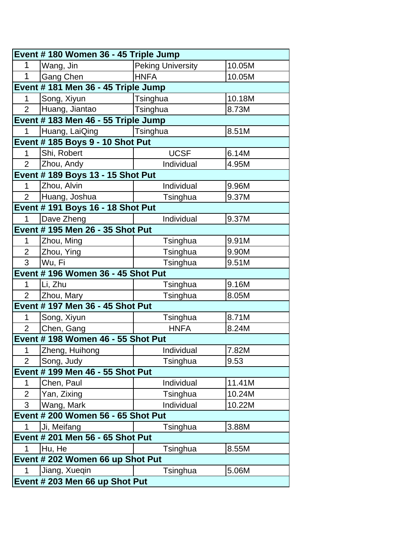| Event # 180 Women 36 - 45 Triple Jump |                                          |                          |        |  |  |
|---------------------------------------|------------------------------------------|--------------------------|--------|--|--|
| 1                                     | Wang, Jin                                | <b>Peking University</b> | 10.05M |  |  |
| 1                                     | Gang Chen                                | <b>HNFA</b>              | 10.05M |  |  |
|                                       | Event # 181 Men 36 - 45 Triple Jump      |                          |        |  |  |
| 1                                     | Song, Xiyun                              | Tsinghua                 | 10.18M |  |  |
| $\overline{2}$                        | Huang, Jiantao                           | Tsinghua                 | 8.73M  |  |  |
|                                       | Event # 183 Men 46 - 55 Triple Jump      |                          |        |  |  |
| 1                                     | Huang, LaiQing                           | Tsinghua                 | 8.51M  |  |  |
|                                       | <b>Event # 185 Boys 9 - 10 Shot Put</b>  |                          |        |  |  |
| 1                                     | Shi, Robert                              | <b>UCSF</b>              | 6.14M  |  |  |
| $\overline{2}$                        | Zhou, Andy                               | Individual               | 4.95M  |  |  |
|                                       | <b>Event # 189 Boys 13 - 15 Shot Put</b> |                          |        |  |  |
| 1                                     | Zhou, Alvin                              | Individual               | 9.96M  |  |  |
| $\overline{2}$                        | Huang, Joshua                            | Tsinghua                 | 9.37M  |  |  |
|                                       | <b>Event # 191 Boys 16 - 18 Shot Put</b> |                          |        |  |  |
| 1                                     | Dave Zheng                               | Individual               | 9.37M  |  |  |
|                                       | Event # 195 Men 26 - 35 Shot Put         |                          |        |  |  |
| 1                                     | Zhou, Ming                               | Tsinghua                 | 9.91M  |  |  |
| $\overline{2}$                        | Zhou, Ying                               | Tsinghua                 | 9.90M  |  |  |
| 3                                     | Wu, Fi                                   | Tsinghua                 | 9.51M  |  |  |
|                                       | Event # 196 Women 36 - 45 Shot Put       |                          |        |  |  |
| 1                                     | Li, Zhu                                  | Tsinghua                 | 9.16M  |  |  |
| $\overline{2}$                        | Zhou, Mary                               | Tsinghua                 | 8.05M  |  |  |
|                                       | Event # 197 Men 36 - 45 Shot Put         |                          |        |  |  |
| 1                                     | Song, Xiyun                              | Tsinghua                 | 8.71M  |  |  |
| $\overline{2}$                        | Chen, Gang                               | <b>HNFA</b>              | 8.24M  |  |  |
|                                       | Event # 198 Women 46 - 55 Shot Put       |                          |        |  |  |
| 1                                     | Zheng, Huihong                           | Individual               | 7.82M  |  |  |
| $\overline{2}$                        | Song, Judy                               | Tsinghua                 | 9.53   |  |  |
|                                       | Event # 199 Men 46 - 55 Shot Put         |                          |        |  |  |
| 1                                     | Chen, Paul                               | Individual               | 11.41M |  |  |
| $\overline{2}$                        | Yan, Zixing                              | Tsinghua                 | 10.24M |  |  |
| 3                                     | Wang, Mark                               | Individual               | 10.22M |  |  |
| Event # 200 Women 56 - 65 Shot Put    |                                          |                          |        |  |  |
| 1                                     | Ji, Meifang                              | Tsinghua                 | 3.88M  |  |  |
| Event # 201 Men 56 - 65 Shot Put      |                                          |                          |        |  |  |
| 1                                     | Hu, He                                   | Tsinghua                 | 8.55M  |  |  |
|                                       | Event # 202 Women 66 up Shot Put         |                          |        |  |  |
| 1                                     | Jiang, Xueqin                            | Tsinghua                 | 5.06M  |  |  |
|                                       | Event # 203 Men 66 up Shot Put           |                          |        |  |  |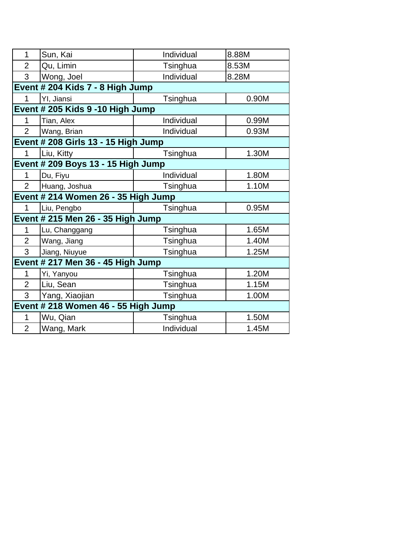| 1                                 | Sun, Kai                            | Individual | 8.88M |  |  |
|-----------------------------------|-------------------------------------|------------|-------|--|--|
| $\overline{2}$                    | Qu, Limin                           | Tsinghua   | 8.53M |  |  |
| 3                                 | Wong, Joel                          | Individual | 8.28M |  |  |
|                                   | Event # 204 Kids 7 - 8 High Jump    |            |       |  |  |
| 1                                 | YI, Jiansi                          | Tsinghua   | 0.90M |  |  |
|                                   | Event # 205 Kids 9 -10 High Jump    |            |       |  |  |
| 1                                 | Tian, Alex                          | Individual | 0.99M |  |  |
| $\overline{2}$                    | Wang, Brian                         | Individual | 0.93M |  |  |
|                                   | Event # 208 Girls 13 - 15 High Jump |            |       |  |  |
| 1                                 | Liu, Kitty                          | Tsinghua   | 1.30M |  |  |
|                                   | Event # 209 Boys 13 - 15 High Jump  |            |       |  |  |
| 1                                 | Du, Fiyu                            | Individual | 1.80M |  |  |
| $\overline{2}$                    | Huang, Joshua                       | Tsinghua   | 1.10M |  |  |
|                                   | Event # 214 Women 26 - 35 High Jump |            |       |  |  |
| $\mathbf 1$                       | Liu, Pengbo                         | Tsinghua   | 0.95M |  |  |
|                                   | Event # 215 Men 26 - 35 High Jump   |            |       |  |  |
| 1                                 | Lu, Changgang                       | Tsinghua   | 1.65M |  |  |
| $\overline{2}$                    | Wang, Jiang                         | Tsinghua   | 1.40M |  |  |
| 3                                 | Jiang, Niuyue                       | Tsinghua   | 1.25M |  |  |
| Event # 217 Men 36 - 45 High Jump |                                     |            |       |  |  |
| 1                                 | Yi, Yanyou                          | Tsinghua   | 1.20M |  |  |
| $\overline{2}$                    | Liu, Sean                           | Tsinghua   | 1.15M |  |  |
| 3                                 | Yang, Xiaojian                      | Tsinghua   | 1.00M |  |  |
|                                   | Event # 218 Women 46 - 55 High Jump |            |       |  |  |
| 1                                 | Wu, Qian                            | Tsinghua   | 1.50M |  |  |
| $\overline{2}$                    |                                     |            |       |  |  |